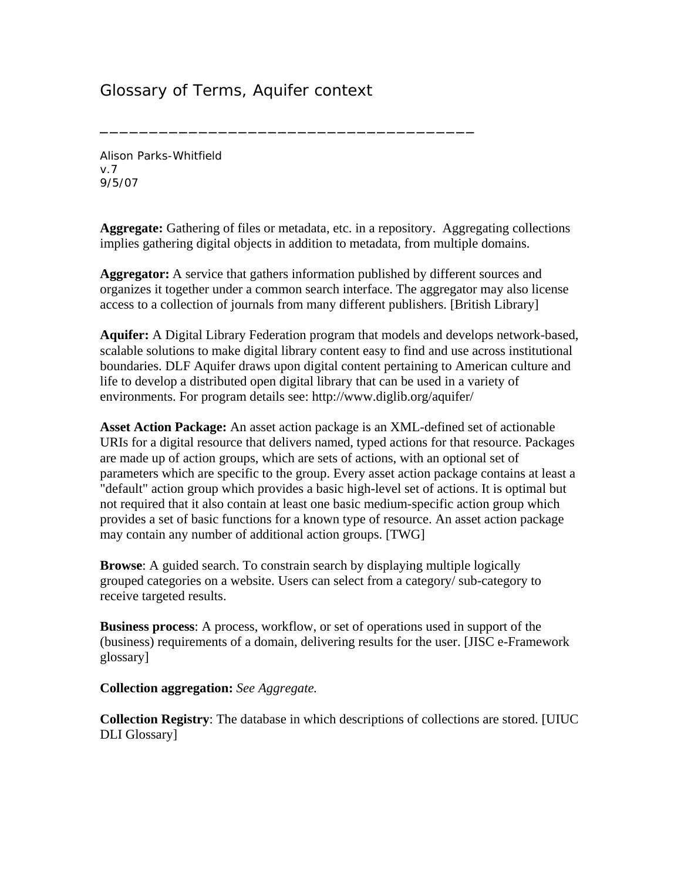## Glossary of Terms, Aquifer context

\_\_\_\_\_\_\_\_\_\_\_\_\_\_\_\_\_\_\_\_\_\_\_\_\_\_\_\_\_\_\_\_\_\_\_\_\_\_

Alison Parks-Whitfield v.7 9/5/07

**Aggregate:** Gathering of files or metadata, etc. in a repository. Aggregating collections implies gathering digital objects in addition to metadata, from multiple domains.

**Aggregator:** A service that gathers information published by different sources and organizes it together under a common search interface. The aggregator may also license access to a collection of journals from many different publishers. [British Library]

**Aquifer:** A Digital Library Federation program that models and develops network-based, scalable solutions to make digital library content easy to find and use across institutional boundaries. DLF Aquifer draws upon digital content pertaining to American culture and life to develop a distributed open digital library that can be used in a variety of environments. For program details see: http://www.diglib.org/aquifer/

**Asset Action Package:** An asset action package is an XML-defined set of actionable URIs for a digital resource that delivers named, typed actions for that resource. Packages are made up of action groups, which are sets of actions, with an optional set of parameters which are specific to the group. Every asset action package contains at least a "default" action group which provides a basic high-level set of actions. It is optimal but not required that it also contain at least one basic medium-specific action group which provides a set of basic functions for a known type of resource. An asset action package may contain any number of additional action groups. [TWG]

**Browse**: A guided search. To constrain search by displaying multiple logically grouped categories on a website. Users can select from a category/ sub-category to receive targeted results.

**Business process**: A process, workflow, or set of operations used in support of the (business) requirements of a domain, delivering results for the user. [JISC e-Framework glossary]

**Collection aggregation:** *See Aggregate.* 

**Collection Registry**: The database in which descriptions of collections are stored. [UIUC DLI Glossary]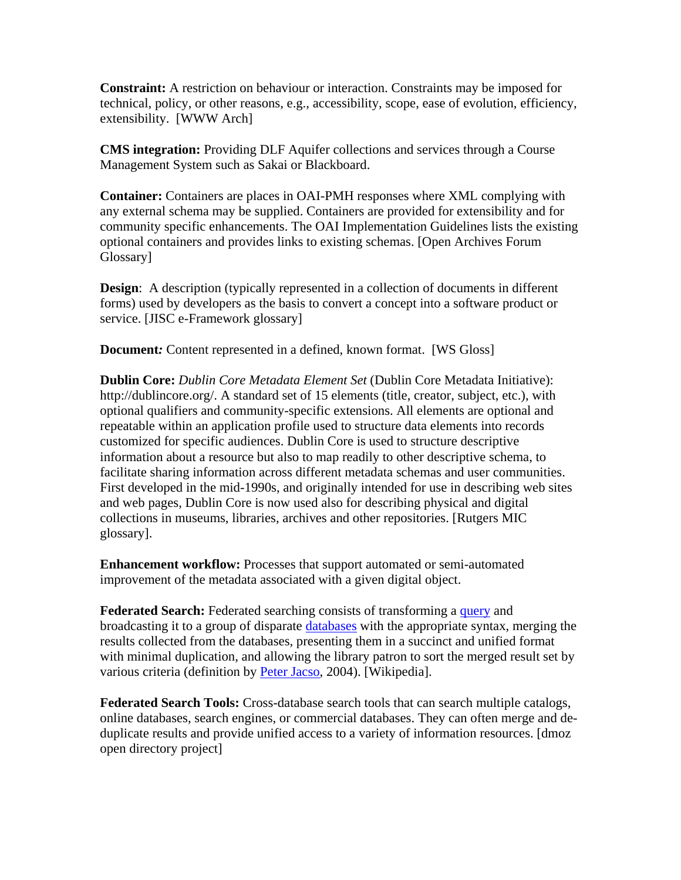**Constraint:** A restriction on behaviour or interaction. Constraints may be imposed for technical, policy, or other reasons, e.g., accessibility, scope, ease of evolution, efficiency, extensibility. [WWW Arch]

**CMS integration:** Providing DLF Aquifer collections and services through a Course Management System such as Sakai or Blackboard.

**Container:** Containers are places in OAI-PMH responses where XML complying with any external schema may be supplied. Containers are provided for extensibility and for community specific enhancements. The OAI Implementation Guidelines lists the existing optional containers and provides links to existing schemas. [Open Archives Forum Glossary]

**Design:** A description (typically represented in a collection of documents in different forms) used by developers as the basis to convert a concept into a software product or service. [JISC e-Framework glossary]

**Document:** Content represented in a defined, known format. [WS Gloss]

**Dublin Core:** *Dublin Core Metadata Element Set* (Dublin Core Metadata Initiative): http://dublincore.org/. A standard set of 15 elements (title, creator, subject, etc.), with optional qualifiers and community-specific extensions. All elements are optional and repeatable within an application profile used to structure data elements into records customized for specific audiences. Dublin Core is used to structure descriptive information about a resource but also to map readily to other descriptive schema, to facilitate sharing information across different metadata schemas and user communities. First developed in the mid-1990s, and originally intended for use in describing web sites and web pages, Dublin Core is now used also for describing physical and digital collections in museums, libraries, archives and other repositories. [Rutgers MIC glossary].

**Enhancement workflow:** Processes that support automated or semi-automated improvement of the metadata associated with a given digital object.

**Federated Search:** Federated searching consists of transforming a **[query](http://en.wikipedia.org/wiki/Query)** and broadcasting it to a group of disparate [databases](http://en.wikipedia.org/wiki/Database) with the appropriate syntax, merging the results collected from the databases, presenting them in a succinct and unified format with minimal duplication, and allowing the library patron to sort the merged result set by various criteria (definition by [Peter Jacso,](http://www2.hawaii.edu/%7Ejacso/) 2004). [Wikipedia].

**Federated Search Tools:** Cross-database search tools that can search multiple catalogs, online databases, search engines, or commercial databases. They can often merge and deduplicate results and provide unified access to a variety of information resources. [dmoz open directory project]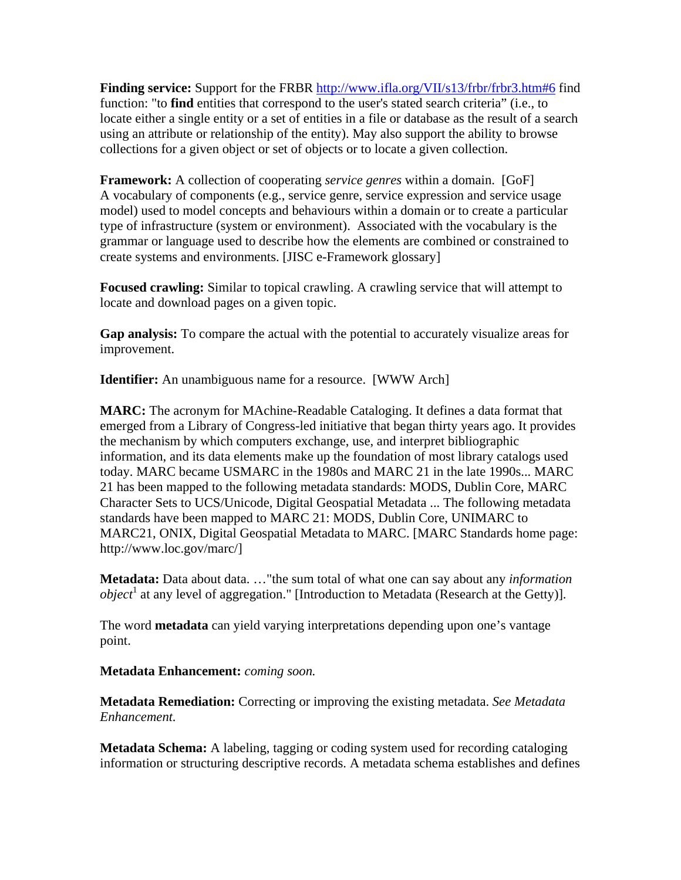**Finding service:** Support for the FRBR <http://www.ifla.org/VII/s13/frbr/frbr3.htm#6>find function: "to **find** entities that correspond to the user's stated search criteria" (i.e., to locate either a single entity or a set of entities in a file or database as the result of a search using an attribute or relationship of the entity). May also support the ability to browse collections for a given object or set of objects or to locate a given collection.

**Framework:** A collection of cooperating *service genres* within a domain. [GoF] A vocabulary of components (e.g., service genre, service expression and service usage model) used to model concepts and behaviours within a domain or to create a particular type of infrastructure (system or environment). Associated with the vocabulary is the grammar or language used to describe how the elements are combined or constrained to create systems and environments. [JISC e-Framework glossary]

**Focused crawling:** Similar to topical crawling. A crawling service that will attempt to locate and download pages on a given topic.

**Gap analysis:** To compare the actual with the potential to accurately visualize areas for improvement.

**Identifier:** An unambiguous name for a resource. [WWW Arch]

**MARC:** The acronym for MAchine-Readable Cataloging. It defines a data format that emerged from a Library of Congress-led initiative that began thirty years ago. It provides the mechanism by which computers exchange, use, and interpret bibliographic information, and its data elements make up the foundation of most library catalogs used today. MARC became USMARC in the 1980s and MARC 21 in the late 1990s... MARC 21 has been mapped to the following metadata standards: MODS, Dublin Core, MARC Character Sets to UCS/Unicode, Digital Geospatial Metadata ... The following metadata standards have been mapped to MARC 21: MODS, Dublin Core, UNIMARC to MARC21, ONIX, Digital Geospatial Metadata to MARC. [MARC Standards home page: http://www.loc.gov/marc/]

**Metadata:** Data about data. …"the sum total of what one can say about any *information object*<sup>1</sup> at any level of aggregation." [Introduction to Metadata (Research at the Getty)].

The word **metadata** can yield varying interpretations depending upon one's vantage point.

## **Metadata Enhancement:** *coming soon.*

**Metadata Remediation:** Correcting or improving the existing metadata. *See Metadata Enhancement.*

**Metadata Schema:** A labeling, tagging or coding system used for recording cataloging information or structuring descriptive records. A metadata schema establishes and defines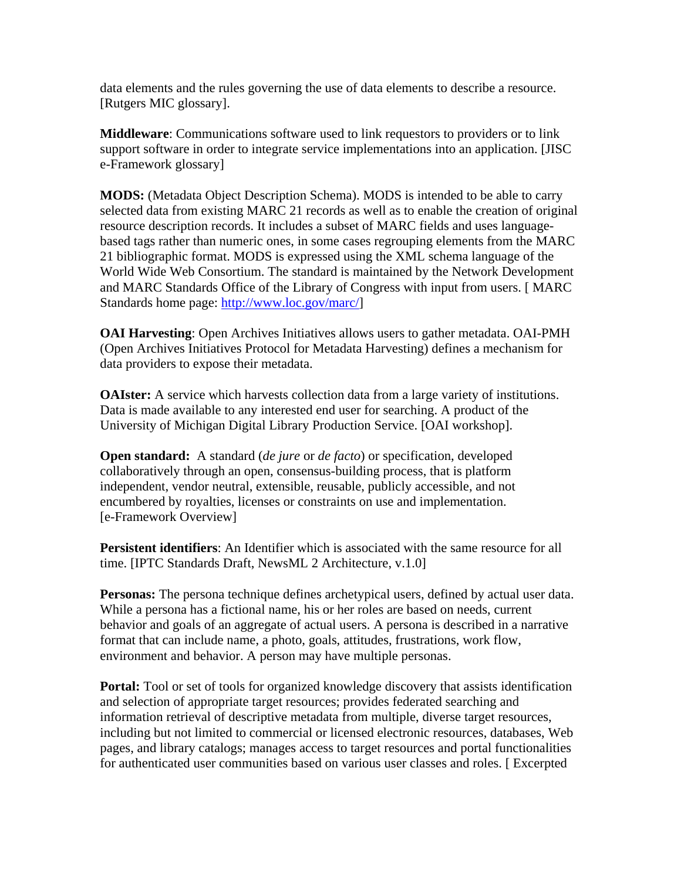data elements and the rules governing the use of data elements to describe a resource. [Rutgers MIC glossary].

**Middleware**: Communications software used to link requestors to providers or to link support software in order to integrate service implementations into an application. [JISC e-Framework glossary]

**MODS:** (Metadata Object Description Schema). MODS is intended to be able to carry selected data from existing MARC 21 records as well as to enable the creation of original resource description records. It includes a subset of MARC fields and uses languagebased tags rather than numeric ones, in some cases regrouping elements from the MARC 21 bibliographic format. MODS is expressed using the XML schema language of the World Wide Web Consortium. The standard is maintained by the Network Development and MARC Standards Office of the Library of Congress with input from users. [ MARC Standards home page: [http://www.loc.gov/marc/\]](http://www.loc.gov/marc/)

**OAI Harvesting**: Open Archives Initiatives allows users to gather metadata. OAI-PMH (Open Archives Initiatives Protocol for Metadata Harvesting) defines a mechanism for data providers to expose their metadata.

**OAIster:** A service which harvests collection data from a large variety of institutions. Data is made available to any interested end user for searching. A product of the University of Michigan Digital Library Production Service. [OAI workshop].

**Open standard:** A standard (*de jure* or *de facto*) or specification, developed collaboratively through an open, consensus-building process, that is platform independent, vendor neutral, extensible, reusable, publicly accessible, and not encumbered by royalties, licenses or constraints on use and implementation. [e-Framework Overview]

**Persistent identifiers**: An Identifier which is associated with the same resource for all time. [IPTC Standards Draft, NewsML 2 Architecture, v.1.0]

**Personas:** The persona technique defines archetypical users, defined by actual user data. While a persona has a fictional name, his or her roles are based on needs, current behavior and goals of an aggregate of actual users. A persona is described in a narrative format that can include name, a photo, goals, attitudes, frustrations, work flow, environment and behavior. A person may have multiple personas.

**Portal:** Tool or set of tools for organized knowledge discovery that assists identification and selection of appropriate target resources; provides federated searching and information retrieval of descriptive metadata from multiple, diverse target resources, including but not limited to commercial or licensed electronic resources, databases, Web pages, and library catalogs; manages access to target resources and portal functionalities for authenticated user communities based on various user classes and roles. [ Excerpted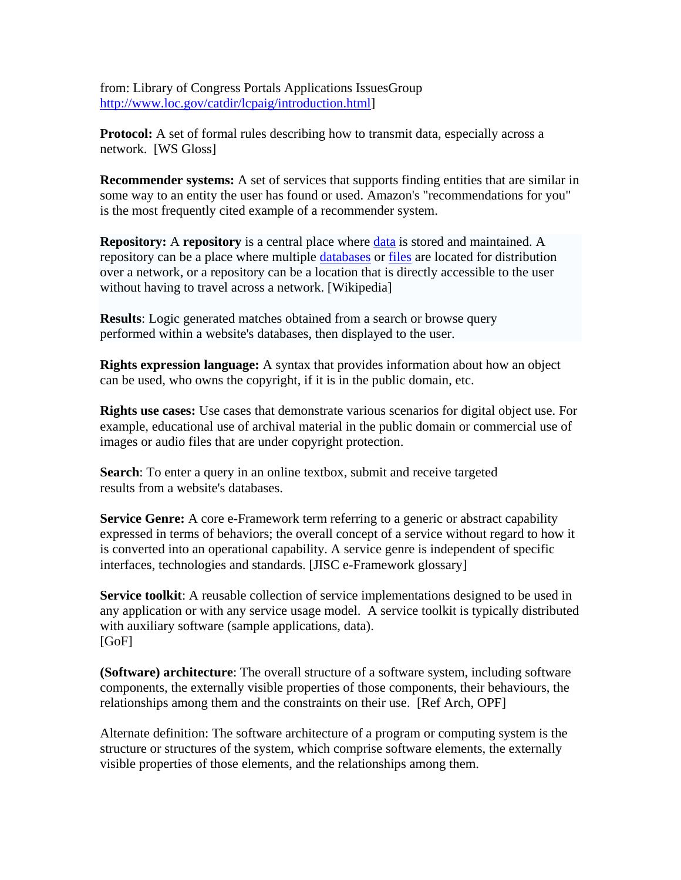from: Library of Congress Portals Applications IssuesGroup [http://www.loc.gov/catdir/lcpaig/introduction.html\]](http://www.loc.gov/catdir/lcpaig/introduction.html)

**Protocol:** A set of formal rules describing how to transmit data, especially across a network. [WS Gloss]

**Recommender systems:** A set of services that supports finding entities that are similar in some way to an entity the user has found or used. Amazon's "recommendations for you" is the most frequently cited example of a recommender system.

**Repository:** A **repository** is a central place where [data](http://en.wikipedia.org/wiki/Data) is stored and maintained. A repository can be a place where multiple [databases](http://en.wikipedia.org/wiki/Database) or [files](http://en.wikipedia.org/wiki/Computer_file) are located for distribution over a network, or a repository can be a location that is directly accessible to the user without having to travel across a network. [Wikipedia]

**Results**: Logic generated matches obtained from a search or browse query performed within a website's databases, then displayed to the user.

**Rights expression language:** A syntax that provides information about how an object can be used, who owns the copyright, if it is in the public domain, etc.

**Rights use cases:** Use cases that demonstrate various scenarios for digital object use. For example, educational use of archival material in the public domain or commercial use of images or audio files that are under copyright protection.

**Search**: To enter a query in an online textbox, submit and receive targeted results from a website's databases.

**Service Genre:** A core e-Framework term referring to a generic or abstract capability expressed in terms of behaviors; the overall concept of a service without regard to how it is converted into an operational capability. A service genre is independent of specific interfaces, technologies and standards. [JISC e-Framework glossary]

**Service toolkit**: A reusable collection of service implementations designed to be used in any application or with any service usage model. A service toolkit is typically distributed with auxiliary software (sample applications, data). [GoF]

**(Software) architecture**: The overall structure of a software system, including software components, the externally visible properties of those components, their behaviours, the relationships among them and the constraints on their use. [Ref Arch, OPF]

Alternate definition: The software architecture of a program or computing system is the structure or structures of the system, which comprise software elements, the externally visible properties of those elements, and the relationships among them.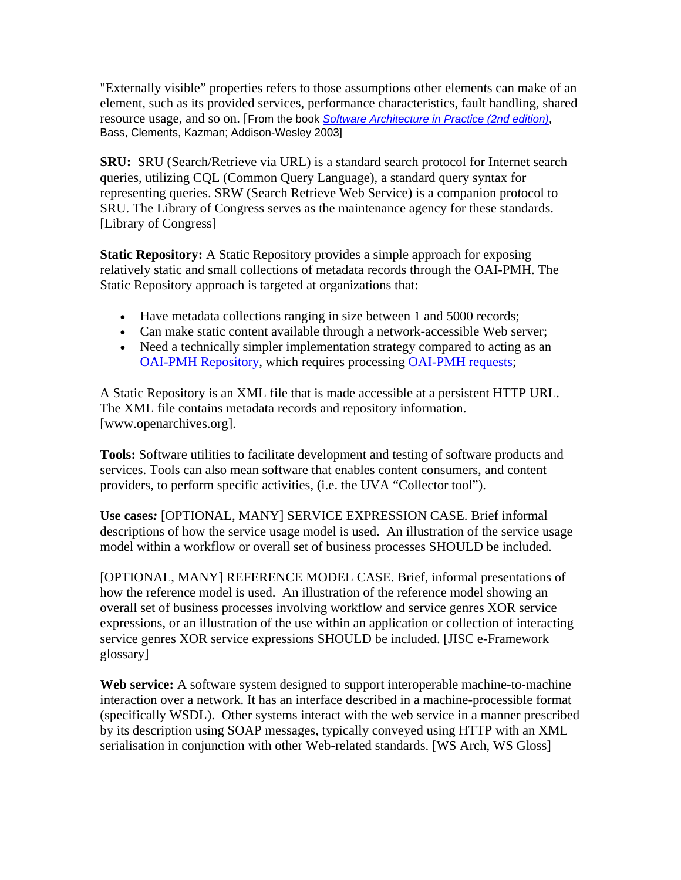"Externally visible" properties refers to those assumptions other elements can make of an element, such as its provided services, performance characteristics, fault handling, shared resource usage, and so on. [From the book *[Software Architecture in Practice \(2nd edition\)](http://www.aw-bc.com/catalog/academic/product/0,4096,0321154959,00.html)*, Bass, Clements, Kazman; Addison-Wesley 2003]

**SRU:** SRU (Search/Retrieve via URL) is a standard search protocol for Internet search queries, utilizing CQL (Common Query Language), a standard query syntax for representing queries. SRW (Search Retrieve Web Service) is a companion protocol to SRU. The Library of Congress serves as the maintenance agency for these standards. [Library of Congress]

**Static Repository:** A Static Repository provides a simple approach for exposing relatively static and small collections of metadata records through the OAI-PMH. The Static Repository approach is targeted at organizations that:

- Have metadata collections ranging in size between 1 and 5000 records;
- Can make static content available through a network-accessible Web server:
- Need a technically simpler implementation strategy compared to acting as an [OAI-PMH Repository](http://www.openarchives.org/OAI/openarchivesprotocol.html#Repository), which requires processing [OAI-PMH requests;](http://www.openarchives.org/OAI/openarchivesprotocol.html#ProtocolMessages)

A Static Repository is an XML file that is made accessible at a persistent HTTP URL. The XML file contains metadata records and repository information. [www.openarchives.org].

**Tools:** Software utilities to facilitate development and testing of software products and services. Tools can also mean software that enables content consumers, and content providers, to perform specific activities, (i.e. the UVA "Collector tool").

**Use cases***:* [OPTIONAL, MANY] SERVICE EXPRESSION CASE. Brief informal descriptions of how the service usage model is used. An illustration of the service usage model within a workflow or overall set of business processes SHOULD be included.

[OPTIONAL, MANY] REFERENCE MODEL CASE. Brief, informal presentations of how the reference model is used. An illustration of the reference model showing an overall set of business processes involving workflow and service genres XOR service expressions, or an illustration of the use within an application or collection of interacting service genres XOR service expressions SHOULD be included. [JISC e-Framework glossary]

**Web service:** A software system designed to support interoperable machine-to-machine interaction over a network. It has an interface described in a machine-processible format (specifically WSDL). Other systems interact with the web service in a manner prescribed by its description using SOAP messages, typically conveyed using HTTP with an XML serialisation in conjunction with other Web-related standards. [WS Arch, WS Gloss]